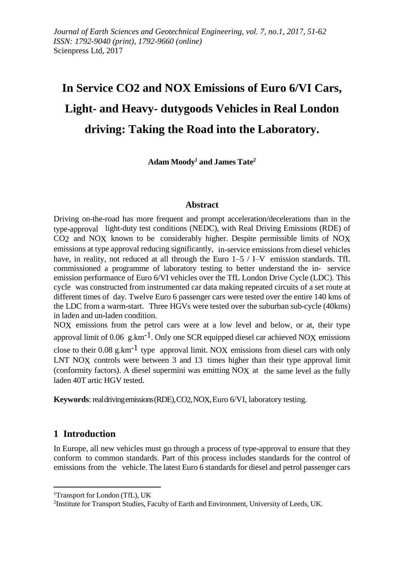# **In Service CO2 and NOX Emissions of Euro 6/VI Cars, Light- and Heavy- dutygoods Vehicles in Real London driving: Taking the Road into the Laboratory.**

**Adam Moody<sup>1</sup> and James Tate<sup>2</sup>**

#### **Abstract**

Driving on-the-road has more frequent and prompt acceleration/decelerations than in the type-approval light-duty test conditions (NEDC), with Real Driving Emissions (RDE) of CO2 and NOX known to be considerably higher. Despite permissible limits of NOX emissions at type approval reducing significantly, in-service emissions from diesel vehicles have, in reality, not reduced at all through the Euro  $1-5$  / I–V emission standards. TfL commissioned a programme of laboratory testing to better understand the in- service emission performance of Euro 6/VI vehicles over the TfL London Drive Cycle (LDC). This cycle was constructed from instrumented car data making repeated circuits of a set route at different times of day. Twelve Euro 6 passenger cars were tested over the entire 140 kms of the LDC from a warm-start. Three HGVs were tested over the suburban sub-cycle (40kms) in laden and un-laden condition.

NOX emissions from the petrol cars were at a low level and below, or at, their type approval limit of 0.06 g.km<sup>-1</sup>. Only one SCR equipped diesel car achieved NOX emissions close to their 0.08 g.km<sup>-1</sup> type approval limit. NOX emissions from diesel cars with only LNT NOX controls were between 3 and 13 times higher than their type approval limit (conformity factors). A diesel supermini was emitting NOX at the same level as the fully laden 40T artic HGV tested.

**Keywords**: realdrivingemissions(RDE),CO2,NOX,Euro 6/VI, laboratory testing.

## **1 Introduction**

In Europe, all new vehicles must go through a process of type-approval to ensure that they conform to common standards. Part of this process includes standards for the control of emissions from the vehicle. The latest Euro 6 standards for diesel and petrol passenger cars

<sup>&</sup>lt;sup>1</sup>Transport for London (TfL), UK

<sup>&</sup>lt;sup>2</sup>Institute for Transport Studies, Faculty of Earth and Environment, University of Leeds, UK.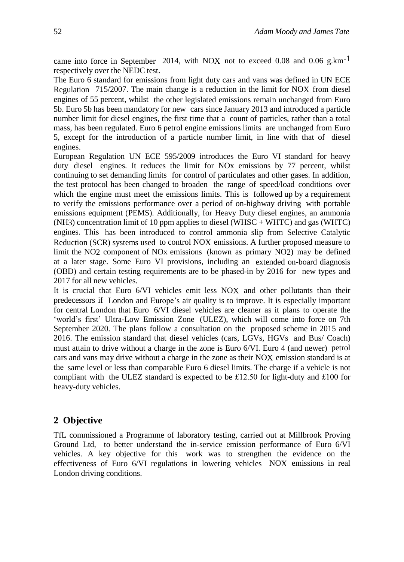came into force in September 2014, with NOX not to exceed 0.08 and 0.06 g.km<sup>-1</sup> respectively over the NEDC test.

The Euro 6 standard for emissions from light duty cars and vans was defined in UN ECE Regulation 715/2007. The main change is a reduction in the limit for NOX from diesel engines of 55 percent, whilst the other legislated emissions remain unchanged from Euro 5b. Euro 5b has been mandatory for new cars since January 2013 and introduced a particle number limit for diesel engines, the first time that a count of particles, rather than a total mass, has been regulated. Euro 6 petrol engine emissions limits are unchanged from Euro 5, except for the introduction of a particle number limit, in line with that of diesel engines.

European Regulation UN ECE 595/2009 introduces the Euro VI standard for heavy duty diesel engines. It reduces the limit for NOx emissions by 77 percent, whilst continuing to set demanding limits for control of particulates and other gases. In addition, the test protocol has been changed to broaden the range of speed/load conditions over which the engine must meet the emissions limits. This is followed up by a requirement to verify the emissions performance over a period of on-highway driving with portable emissions equipment (PEMS). Additionally, for Heavy Duty diesel engines, an ammonia (NH3) concentration limit of 10 ppm applies to diesel (WHSC + WHTC) and gas (WHTC) engines. This has been introduced to control ammonia slip from Selective Catalytic Reduction (SCR) systems used to control NOX emissions. A further proposed measure to limit the NO2 component of NOx emissions (known as primary NO2) may be defined at a later stage. Some Euro VI provisions, including an extended on-board diagnosis (OBD) and certain testing requirements are to be phased-in by 2016 for new types and 2017 for all new vehicles.

It is crucial that Euro 6/VI vehicles emit less NOX and other pollutants than their predecessors if London and Europe's air quality is to improve. It is especially important for central London that Euro 6/VI diesel vehicles are cleaner as it plans to operate the 'world's first' Ultra-Low Emission Zone (ULEZ), which will come into force on 7th September 2020. The plans follow a consultation on the proposed scheme in 2015 and 2016. The emission standard that diesel vehicles (cars, LGVs, HGVs and Bus/ Coach) must attain to drive without a charge in the zone is Euro 6/VI. Euro 4 (and newer) petrol cars and vans may drive without a charge in the zone as their NOX emission standard is at the same level or less than comparable Euro 6 diesel limits. The charge if a vehicle is not compliant with the ULEZ standard is expected to be £12.50 for light-duty and £100 for heavy-duty vehicles.

## **2 Objective**

TfL commissioned a Programme of laboratory testing, carried out at Millbrook Proving Ground Ltd, to better understand the in-service emission performance of Euro 6/VI vehicles. A key objective for this work was to strengthen the evidence on the effectiveness of Euro 6/VI regulations in lowering vehicles NOX emissions in real London driving conditions.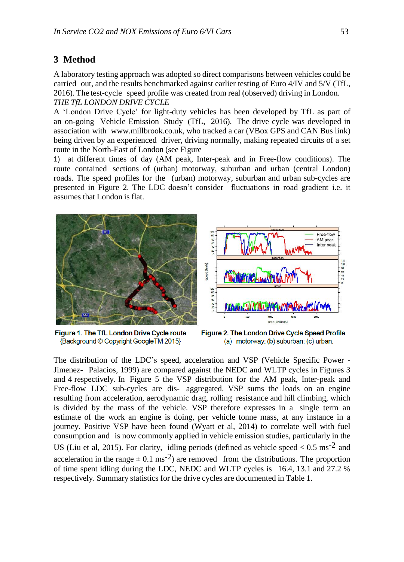# **3 Method**

A laboratory testing approach was adopted so direct comparisons between vehicles could be carried out, and the results benchmarked against earlier testing of Euro 4/IV and 5/V (TfL, 2016). The test-cycle speed profile was created from real (observed) driving in London. *THE TfL LONDON DRIVE CYCLE*

A 'London Drive Cycle' for light-duty vehicles has been developed by TfL as part of an on-going Vehicle Emission Study (TfL, 2016). The drive cycle was developed in association with www.millbrook.co.uk, who tracked a car (VBox GPS and CAN Bus link) being driven by an experienced driver, driving normally, making repeated circuits of a set route in the North-East of London (see Figure

1) at different times of day (AM peak, Inter-peak and in Free-flow conditions). The route contained sections of (urban) motorway, suburban and urban (central London) roads. The speed profiles for the (urban) motorway, suburban and urban sub-cycles are presented in Figure 2. The LDC doesn't consider fluctuations in road gradient i.e. it assumes that London is flat.



Figure 1. The TfL London Drive Cycle route {Background © Copyright GoogleTM 2015}

Figure 2. The London Drive Cycle Speed Profile (a) motorway; (b) suburban; (c) urban.

The distribution of the LDC's speed, acceleration and VSP (Vehicle Specific Power - Jimenez- Palacios, 1999) are compared against the NEDC and WLTP cycles in Figures 3 and 4 respectively. In Figure 5 the VSP distribution for the AM peak, Inter-peak and Free-flow LDC sub-cycles are dis- aggregated. VSP sums the loads on an engine resulting from acceleration, aerodynamic drag, rolling resistance and hill climbing, which is divided by the mass of the vehicle. VSP therefore expresses in a single term an estimate of the work an engine is doing, per vehicle tonne mass, at any instance in a journey. Positive VSP have been found (Wyatt et al, 2014) to correlate well with fuel consumption and is now commonly applied in vehicle emission studies, particularly in the US (Liu et al, 2015). For clarity, idling periods (defined as vehicle speed  $< 0.5$  ms<sup>-2</sup> and acceleration in the range  $\pm$  0.1 ms<sup>-2</sup>) are removed from the distributions. The proportion of time spent idling during the LDC, NEDC and WLTP cycles is 16.4, 13.1 and 27.2 % respectively. Summary statistics for the drive cycles are documented in Table 1.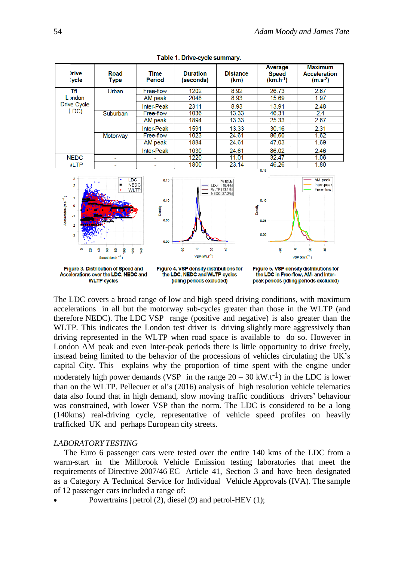| <b>Irive</b><br><b>vcle</b>                                                                                                        | Road<br><b>Type</b> | Time<br><b>Period</b>           | <b>Duration</b><br>(seconds)                            | <b>Distance</b><br>(km) | Average<br><b>Speed</b><br>$(km.h^{-1})$                              | <b>Maximum</b><br><b>Acceleration</b><br>$(m.s^{-2})$ |  |
|------------------------------------------------------------------------------------------------------------------------------------|---------------------|---------------------------------|---------------------------------------------------------|-------------------------|-----------------------------------------------------------------------|-------------------------------------------------------|--|
| TfL                                                                                                                                | Urban               | Free-flow                       | 1202                                                    | 8.92                    | 26.73                                                                 | 2.67                                                  |  |
| L <sub>i</sub> ndon                                                                                                                |                     | AM peak                         | 2048                                                    | 8.93                    | 15.69                                                                 | 1.97                                                  |  |
| <b>Drive Cycle</b>                                                                                                                 |                     | <b>Inter-Peak</b>               | 2311                                                    | 8.93                    | 13.91                                                                 | 2.48                                                  |  |
| $($ LDC $)$                                                                                                                        | Suburban            | Free-flow                       | 1036                                                    | 13.33                   | 46.31                                                                 | 2.4                                                   |  |
|                                                                                                                                    |                     | AM peak                         | 1894                                                    | 13.33                   | 25.33                                                                 | 2.67                                                  |  |
|                                                                                                                                    |                     | <b>Inter-Peak</b>               | 1591                                                    | 13.33                   | 30.16                                                                 | 2.31                                                  |  |
|                                                                                                                                    | Motorway            | Free-flow                       | 1023                                                    | 24.61                   | 86.60                                                                 | 1.62                                                  |  |
|                                                                                                                                    |                     | AM peak                         | 1884                                                    | 24.61                   | 47.03                                                                 | 1.69                                                  |  |
|                                                                                                                                    |                     | <b>Inter-Peak</b>               | 1030                                                    | 24.61                   | 86.02                                                                 | 2.46                                                  |  |
| <b>NEDC</b>                                                                                                                        |                     |                                 | 1220                                                    | 11.01                   | 32.47                                                                 | 1.06                                                  |  |
| <b>JLTP</b>                                                                                                                        |                     |                                 | 1800                                                    | 23.14                   | 46.26                                                                 | 1.80                                                  |  |
| 3<br><b>LDC</b><br><b>NEDC</b><br>$\overline{2}$<br><b>WLTP</b><br>Acceleration (m.s <sup>-2</sup> )<br>0<br>$-1$<br>$\mathcal{L}$ |                     | 0.15<br>0.10<br>Density<br>0.05 | [% IDLE]<br>LDC [16.4%]<br>WLTP [13.1%]<br>NEDC [27.2%] |                         | 0.15<br>AM peak<br>Inter-peak<br>Free-flow<br>0.10<br>Density<br>0.05 |                                                       |  |

Table 1. Drive-cycle summary.



The LDC covers a broad range of low and high speed driving conditions, with maximum accelerations in all but the motorway sub-cycles greater than those in the WLTP (and therefore NEDC). The LDC VSP range (positive and negative) is also greater than the WLTP. This indicates the London test driver is driving slightly more aggressively than driving represented in the WLTP when road space is available to do so. However in London AM peak and even Inter-peak periods there is little opportunity to drive freely, instead being limited to the behavior of the processions of vehicles circulating the UK's capital City. This explains why the proportion of time spent with the engine under moderately high power demands (VSP in the range  $20 - 30$  kW.t<sup>-1</sup>) in the LDC is lower than on the WLTP. Pellecuer et al's (2016) analysis of high resolution vehicle telematics data also found that in high demand, slow moving traffic conditions drivers' behaviour was constrained, with lower VSP than the norm. The LDC is considered to be a long (140kms) real-driving cycle, representative of vehicle speed profiles on heavily trafficked UK and perhaps European city streets.

#### *LABORATORY TESTING*

The Euro 6 passenger cars were tested over the entire 140 kms of the LDC from a warm-start in the Millbrook Vehicle Emission testing laboratories that meet the requirements of Directive 2007/46 EC Article 41, Section 3 and have been designated as a Category A Technical Service for Individual Vehicle Approvals (IVA). The sample of 12 passenger cars included a range of:

Powertrains | petrol (2), diesel (9) and petrol-HEV (1);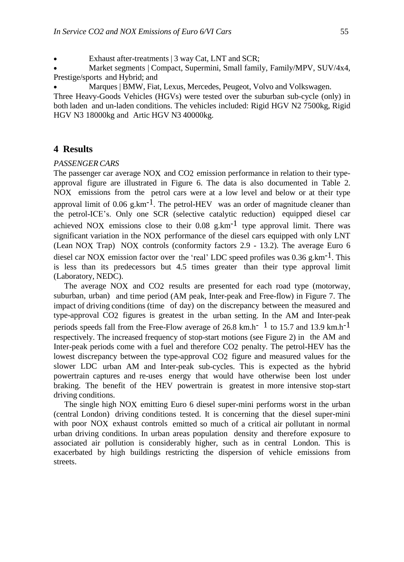Exhaust after-treatments | 3 way Cat, LNT and SCR;

 Market segments | Compact, Supermini, Small family, Family/MPV, SUV/4x4, Prestige/sports and Hybrid; and

Marques | BMW, Fiat, Lexus, Mercedes, Peugeot, Volvo and Volkswagen.

Three Heavy-Goods Vehicles (HGVs) were tested over the suburban sub-cycle (only) in both laden and un-laden conditions. The vehicles included: Rigid HGV N2 7500kg, Rigid HGV N3 18000kg and Artic HGV N3 40000kg.

## **4 Results**

#### *PASSENGERCARS*

The passenger car average NOX and CO2 emission performance in relation to their typeapproval figure are illustrated in Figure 6. The data is also documented in Table 2. NOX emissions from the petrol cars were at a low level and below or at their type approval limit of  $0.06$  g.km<sup>-1</sup>. The petrol-HEV was an order of magnitude cleaner than the petrol-ICE's. Only one SCR (selective catalytic reduction) equipped diesel car achieved NOX emissions close to their  $0.08$  g.km<sup>-1</sup> type approval limit. There was significant variation in the NOX performance of the diesel cars equipped with only LNT (Lean NOX Trap) NOX controls (conformity factors 2.9 - 13.2). The average Euro 6 diesel car NOX emission factor over the 'real' LDC speed profiles was 0.36 g.km-1. This is less than its predecessors but 4.5 times greater than their type approval limit (Laboratory, NEDC).

The average NOX and CO2 results are presented for each road type (motorway, suburban, urban) and time period (AM peak, Inter-peak and Free-flow) in Figure 7. The impact of driving conditions (time of day) on the discrepancy between the measured and type-approval CO2 figures is greatest in the urban setting. In the AM and Inter-peak periods speeds fall from the Free-Flow average of 26.8 km.h<sup>-1</sup> to 15.7 and 13.9 km.h<sup>-1</sup> respectively. The increased frequency of stop-start motions (see Figure 2) in the AM and Inter-peak periods come with a fuel and therefore CO2 penalty. The petrol-HEV has the lowest discrepancy between the type-approval CO2 figure and measured values for the slower LDC urban AM and Inter-peak sub-cycles. This is expected as the hybrid powertrain captures and re-uses energy that would have otherwise been lost under braking. The benefit of the HEV powertrain is greatest in more intensive stop-start driving conditions.

The single high NOX emitting Euro 6 diesel super-mini performs worst in the urban (central London) driving conditions tested. It is concerning that the diesel super-mini with poor NOX exhaust controls emitted so much of a critical air pollutant in normal urban driving conditions. In urban areas population density and therefore exposure to associated air pollution is considerably higher, such as in central London. This is exacerbated by high buildings restricting the dispersion of vehicle emissions from streets.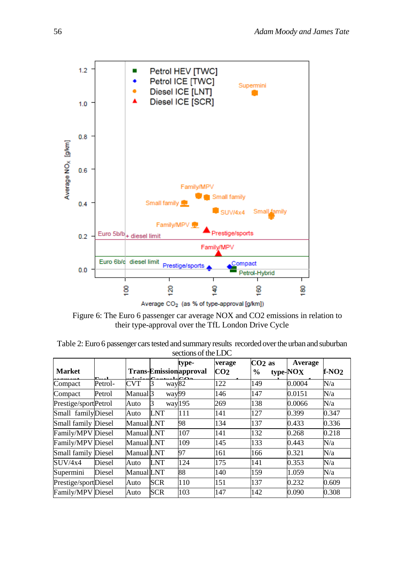

Figure 6: The Euro 6 passenger car average NOX and CO2 emissions in relation to their type-approval over the TfL London Drive Cycle

| <b>Market</b>              |         |                     |             | type-<br><b>Trans-Emission</b> approval | verage<br>CO <sub>2</sub> | $CO2$ as<br>$\frac{6}{9}$ | <b>Average</b><br>type-NO <sub>X</sub> | $f-NO2$ |
|----------------------------|---------|---------------------|-------------|-----------------------------------------|---------------------------|---------------------------|----------------------------------------|---------|
|                            | Ē       |                     |             |                                         |                           |                           |                                        |         |
| Compact                    | Petrol- | <b>CVT</b>          | way82       |                                         | 122                       | 149                       | 0.0004                                 | N/a     |
| Compact                    | Petrol  | Manual <sub>3</sub> | way99       |                                         | 146                       | 147                       | 0.0151                                 | N/a     |
| Prestige/sportPetrol       |         | Auto                | way195<br>3 |                                         | 269                       | 138                       | 0.0066                                 | N/a     |
| Small familyDiesel         |         | Auto                | LNT         | 111                                     | 141                       | 127                       | 0.399                                  | 0.347   |
| Small family Diesel        |         | Manual LNT          |             | 98                                      | 134                       | 137                       | 0.433                                  | 0.336   |
| Family/MPV Diesel          |         | Manual LNT          |             | 107                                     | 141                       | 132                       | 0.268                                  | 0.218   |
| Family/MPV Diesel          |         | Manual LNT          |             | 109                                     | 145                       | 133                       | 0.443                                  | N/a     |
| <b>Small family Diesel</b> |         | Manual LNT          |             | 97                                      | 161                       | 166                       | 0.321                                  | N/a     |
| $\rm SUIV/4x4$             | Diesel  | Auto                | LNT         | 124                                     | 175                       | 141                       | 0.353                                  | N/a     |
| Supermini                  | Diesel  | Manual LNT          |             | 88                                      | 140                       | 159                       | 1.059                                  | N/a     |
| Prestige/sportDiesel       |         | Auto                | <b>SCR</b>  | 110                                     | 151                       | 137                       | 0.232                                  | 0.609   |
| Family/MPV Diesel          |         | Auto                | <b>SCR</b>  | 103                                     | 147                       | 142                       | 0.090                                  | 0.308   |

Table 2: Euro 6 passenger cars tested and summary results recorded over the urban and suburban sections of the LDC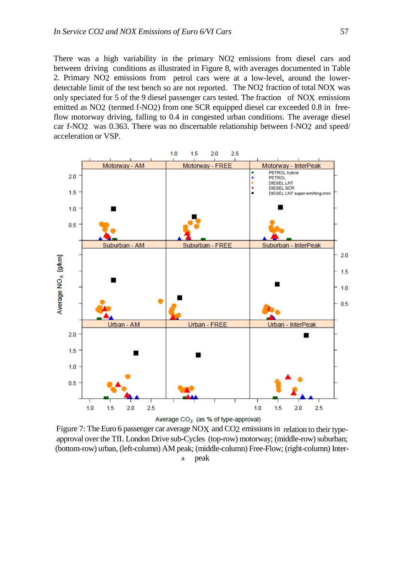There was a high variability in the primary NO2 emissions from diesel cars and between driving conditions as illustrated in Figure 8, with averages documented in Table 2. Primary NO2 emissions from petrol cars were at a low-level, around the lowerdetectable limit of the test bench so are not reported. The NO2 fraction of total NOX was only speciated for 5 of the 9 diesel passenger cars tested. The fraction of NOX emissions emitted as NO2 (termed f-NO2) from one SCR equipped diesel car exceeded 0.8 in freeflow motorway driving, falling to 0.4 in congested urban conditions. The average diesel car f-NO2 was 0.363. There was no discernable relationship between f-NO2 and speed/ acceleration or VSP.



Figure 7: The Euro 6 passenger car average NOX and CO2 emissions in relation to their typeapproval over the TfL London Drive sub-Cycles (top-row) motorway; (middle-row) suburban; (bottom-row) urban, (left-column) AM peak; (middle-column) Free-Flow; (right-column) Inter-

a peak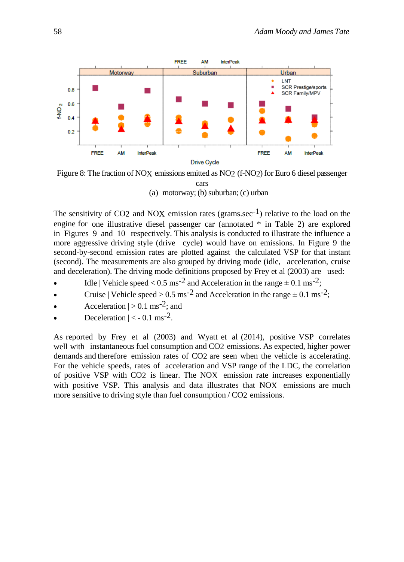

Figure 8: The fraction of NOX emissions emitted as NO2 (f-NO2) for Euro 6 diesel passenger

cars

(a) motorway; (b) suburban;  $(c)$  urban

The sensitivity of CO2 and NOX emission rates (grams.sec<sup>-1</sup>) relative to the load on the engine for one illustrative diesel passenger car (annotated \* in Table 2) are explored in Figures 9 and 10 respectively. This analysis is conducted to illustrate the influence a more aggressive driving style (drive cycle) would have on emissions. In Figure 9 the second-by-second emission rates are plotted against the calculated VSP for that instant (second). The measurements are also grouped by driving mode (idle, acceleration, cruise and deceleration). The driving mode definitions proposed by Frey et al (2003) are used:

- $\bullet$  Idle | Vehicle speed < 0.5 ms<sup>-2</sup> and Acceleration in the range  $\pm$  0.1 ms<sup>-2</sup>;
- Cruise | Vehicle speed >  $0.5 \text{ ms}^{-2}$  and Acceleration in the range  $\pm 0.1 \text{ ms}^{-2}$ ;
- Acceleration  $|>0.1$  ms<sup>-2</sup>; and
- Deceleration  $|<$  0.1 ms<sup>-2</sup>.

As reported by Frey et al (2003) and Wyatt et al (2014), positive VSP correlates well with instantaneous fuel consumption and CO2 emissions. As expected, higher power demands and therefore emission rates of CO2 are seen when the vehicle is accelerating. For the vehicle speeds, rates of acceleration and VSP range of the LDC, the correlation of positive VSP with CO2 is linear. The NOX emission rate increases exponentially with positive VSP. This analysis and data illustrates that NOX emissions are much more sensitive to driving style than fuel consumption / CO2 emissions.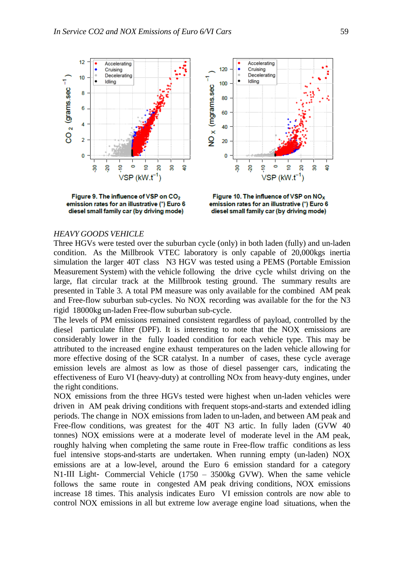

emission rates for an illustrative (\*) Euro 6 diesel small family car (by driving mode)

emission rates for an illustrative (\*) Euro 6 diesel small family car (by driving mode)

#### *HEAVY GOODS VEHICLE*

Three HGVs were tested over the suburban cycle (only) in both laden (fully) and un-laden condition. As the Millbrook VTEC laboratory is only capable of 20,000kgs inertia simulation the larger 40T class N3 HGV was tested using a PEMS (Portable Emission Measurement System) with the vehicle following the drive cycle whilst driving on the large, flat circular track at the Millbrook testing ground. The summary results are presented in Table 3. A total PM measure was only available for the combined AM peak and Free-flow suburban sub-cycles. No NOX recording was available for the for the N3 rigid 18000kg un-laden Free-flow suburban sub-cycle.

The levels of PM emissions remained consistent regardless of payload, controlled by the diesel particulate filter (DPF). It is interesting to note that the NOX emissions are considerably lower in the fully loaded condition for each vehicle type. This may be attributed to the increased engine exhaust temperatures on the laden vehicle allowing for more effective dosing of the SCR catalyst. In a number of cases, these cycle average emission levels are almost as low as those of diesel passenger cars, indicating the effectiveness of Euro VI (heavy-duty) at controlling NOx from heavy-duty engines, under the right conditions.

NOX emissions from the three HGVs tested were highest when un-laden vehicles were driven in AM peak driving conditions with frequent stops-and-starts and extended idling periods. The change in NOX emissions from laden to un-laden, and between AM peak and Free-flow conditions, was greatest for the 40T N3 artic. In fully laden (GVW 40 tonnes) NOX emissions were at a moderate level of moderate level in the AM peak, roughly halving when completing the same route in Free-flow traffic conditions as less fuel intensive stops-and-starts are undertaken. When running empty (un-laden) NOX emissions are at a low-level, around the Euro 6 emission standard for a category N1-III Light- Commercial Vehicle (1750 – 3500kg GVW). When the same vehicle follows the same route in congested AM peak driving conditions, NOX emissions increase 18 times. This analysis indicates Euro VI emission controls are now able to control NOX emissions in all but extreme low average engine load situations, when the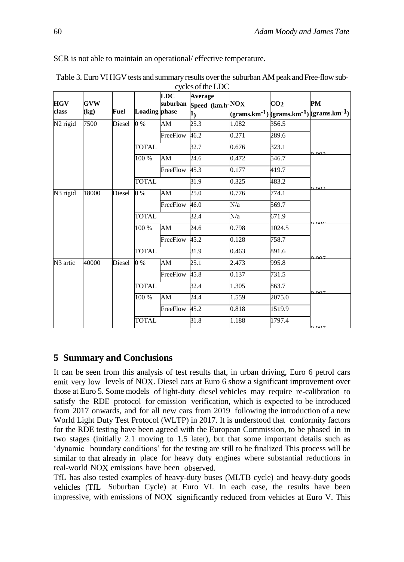SCR is not able to maintain an operational/ effective temperature.

|                      | CYCICS OF THE LIDE<br><b>LDC</b><br>Average |        |                      |          |                          |       |                 |                                                                   |  |  |
|----------------------|---------------------------------------------|--------|----------------------|----------|--------------------------|-------|-----------------|-------------------------------------------------------------------|--|--|
| <b>HGV</b><br>class  | <b>GVW</b>                                  |        | <b>Loading</b> phase | suburban | Speed (km.h-NOX          |       | CO <sub>2</sub> | PM                                                                |  |  |
|                      | $\left(\text{kg}\right)$                    | Fuel   |                      |          | $\mathbf{1}_\mathcal{)}$ |       |                 | $(\text{grams.km-1})$ $(\text{grams.km-1})$ $(\text{grams.km-1})$ |  |  |
| N <sub>2</sub> rigid | 7500                                        | Diesel | $0\%$                | AM       | 25.3                     | 1.082 | 356.5           |                                                                   |  |  |
|                      |                                             |        |                      | FreeFlow | 46.2                     | 0.271 | 289.6           |                                                                   |  |  |
|                      |                                             |        | <b>TOTAL</b>         |          | 32.7                     | 0.676 | 323.1           | $0^{\circ}$                                                       |  |  |
|                      |                                             |        | 100 %                | AM       | 24.6                     | 0.472 | 546.7           |                                                                   |  |  |
|                      |                                             |        |                      | FreeFlow | 45.3                     | 0.177 | 419.7           |                                                                   |  |  |
|                      |                                             |        | <b>TOTAL</b>         |          | 31.9                     | 0.325 | 483.2           | 000                                                               |  |  |
| N <sub>3</sub> rigid | 18000                                       | Diesel | $0\%$                | AM       | 25.0                     | 0.776 | 774.1           |                                                                   |  |  |
|                      |                                             |        |                      | FreeFlow | 46.0                     | N/a   | 569.7           |                                                                   |  |  |
|                      |                                             |        | <b>TOTAL</b>         |          | 32.4                     | N/a   | 671.9           | $\Omega$                                                          |  |  |
|                      |                                             |        | 100 %                | AM       | 24.6                     | 0.798 | 1024.5          |                                                                   |  |  |
|                      |                                             |        |                      | FreeFlow | 45.2                     | 0.128 | 758.7           |                                                                   |  |  |
|                      |                                             |        | <b>TOTAL</b>         |          | 31.9                     | 0.463 | 891.6           |                                                                   |  |  |
| N <sub>3</sub> artic | 40000                                       | Diesel | $0\%$                | AM       | 25.1                     | 2.473 | 995.8           | $\Omega$                                                          |  |  |
|                      |                                             |        |                      | FreeFlow | 45.8                     | 0.137 | 731.5           |                                                                   |  |  |
|                      |                                             |        | <b>TOTAL</b>         |          | 32.4                     | 1.305 | 863.7           |                                                                   |  |  |
|                      |                                             |        | 100 %                | AM       | 24.4                     | 1.559 | 2075.0          | 007                                                               |  |  |
|                      |                                             |        |                      | FreeFlow | $\overline{45.2}$        | 0.818 | 1519.9          |                                                                   |  |  |
|                      |                                             |        | <b>TOTAL</b>         |          | 31.8                     | 1.188 | 1797.4          | ነ ሰሰ7                                                             |  |  |

Table 3. Euro VI HGV tests and summary results over the suburban AM peak and Free-flow sub $cycles of the LOC$ 

## **5 Summary and Conclusions**

It can be seen from this analysis of test results that, in urban driving, Euro 6 petrol cars emit very low levels of NOX. Diesel cars at Euro 6 show a significant improvement over those at Euro 5. Some models of light-duty diesel vehicles may require re-calibration to satisfy the RDE protocol for emission verification, which is expected to be introduced from 2017 onwards, and for all new cars from 2019 following the introduction of a new World Light Duty Test Protocol (WLTP) in 2017. It is understood that conformity factors for the RDE testing have been agreed with the European Commission, to be phased in in two stages (initially 2.1 moving to 1.5 later), but that some important details such as 'dynamic boundary conditions' for the testing are still to be finalized This process will be similar to that already in place for heavy duty engines where substantial reductions in real-world NOX emissions have been observed.

TfL has also tested examples of heavy-duty buses (MLTB cycle) and heavy-duty goods vehicles (TfL Suburban Cycle) at Euro VI. In each case, the results have been impressive, with emissions of NOX significantly reduced from vehicles at Euro V. This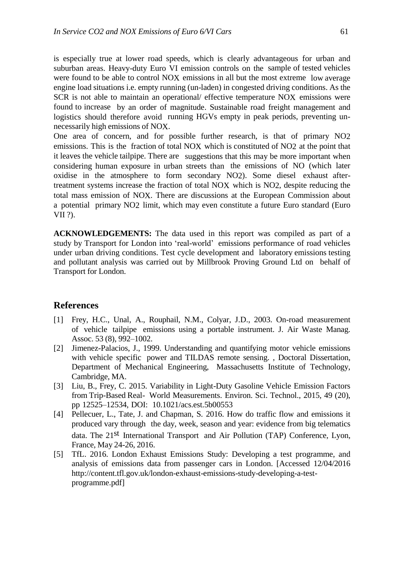is especially true at lower road speeds, which is clearly advantageous for urban and suburban areas. Heavy-duty Euro VI emission controls on the sample of tested vehicles were found to be able to control NOX emissions in all but the most extreme low average engine load situations i.e. empty running (un-laden) in congested driving conditions. As the SCR is not able to maintain an operational/ effective temperature NOX emissions were found to increase by an order of magnitude. Sustainable road freight management and logistics should therefore avoid running HGVs empty in peak periods, preventing unnecessarily high emissions of NOX.

One area of concern, and for possible further research, is that of primary NO2 emissions. This is the fraction of total NOX which is constituted of NO2 at the point that it leaves the vehicle tailpipe. There are suggestions that this may be more important when considering human exposure in urban streets than the emissions of NO (which later oxidise in the atmosphere to form secondary NO2). Some diesel exhaust aftertreatment systems increase the fraction of total NOX which is NO2, despite reducing the total mass emission of NOX. There are discussions at the European Commission about a potential primary NO2 limit, which may even constitute a future Euro standard (Euro VII ?).

**ACKNOWLEDGEMENTS:** The data used in this report was compiled as part of a study by Transport for London into 'real-world' emissions performance of road vehicles under urban driving conditions. Test cycle development and laboratory emissions testing and pollutant analysis was carried out by Millbrook Proving Ground Ltd on behalf of Transport for London.

### **References**

- [1] Frey, H.C., Unal, A., Rouphail, N.M., Colyar, J.D., 2003. On-road measurement of vehicle tailpipe emissions using a portable instrument. J. Air Waste Manag. Assoc. 53 (8), 992–1002.
- [2] Jimenez-Palacios, J., 1999. Understanding and quantifying motor vehicle emissions with vehicle specific power and TILDAS remote sensing. , Doctoral Dissertation, Department of Mechanical Engineering, Massachusetts Institute of Technology, Cambridge, MA.
- [3] Liu, B., Frey, C. 2015. Variability in Light-Duty Gasoline Vehicle Emission Factors from Trip-Based Real- World Measurements. Environ. Sci. Technol., 2015, 49 (20), pp 12525–12534, DOI: 10.1021/acs.est.5b00553
- [4] Pellecuer, L., Tate, J. and Chapman, S. 2016. How do traffic flow and emissions it produced vary through the day, week, season and year: evidence from big telematics data. The 21st International Transport and Air Pollution (TAP) Conference, Lyon, France, May 24-26, 2016.
- [5] TfL. 2016. London Exhaust Emissions Study: Developing a test programme, and analysis of emissions data from passenger cars in London. [Accessed 12/04/2016 http://content.tfl.gov.uk/london-exhaust-emissions-study-developing-a-testprogramme.pdf]